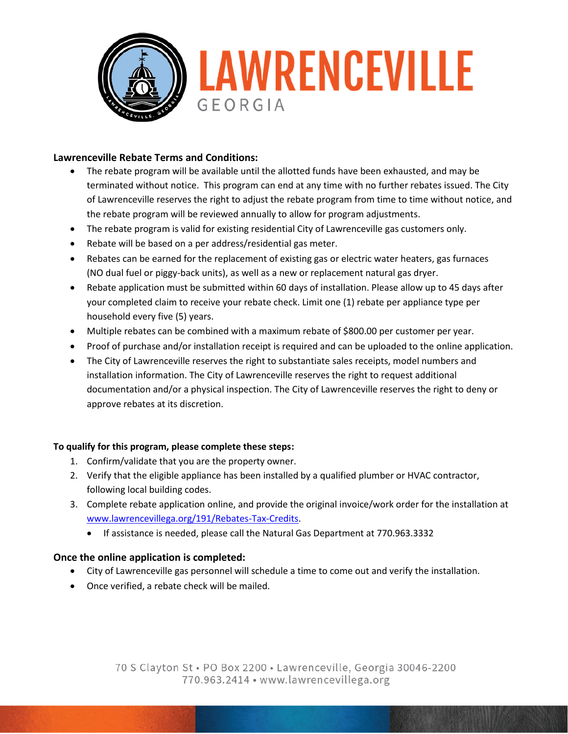

## **Lawrenceville Rebate Terms and Conditions:**

- The rebate program will be available until the allotted funds have been exhausted, and may be terminated without notice. This program can end at any time with no further rebates issued. The City of Lawrenceville reserves the right to adjust the rebate program from time to time without notice, and the rebate program will be reviewed annually to allow for program adjustments.
- The rebate program is valid for existing residential City of Lawrenceville gas customers only.
- Rebate will be based on a per address/residential gas meter.
- Rebates can be earned for the replacement of existing gas or electric water heaters, gas furnaces (NO dual fuel or piggy-back units), as well as a new or replacement natural gas dryer.
- Rebate application must be submitted within 60 days of installation. Please allow up to 45 days after your completed claim to receive your rebate check. Limit one (1) rebate per appliance type per household every five (5) years.
- Multiple rebates can be combined with a maximum rebate of \$800.00 per customer per year.
- Proof of purchase and/or installation receipt is required and can be uploaded to the online application.
- The City of Lawrenceville reserves the right to substantiate sales receipts, model numbers and installation information. The City of Lawrenceville reserves the right to request additional documentation and/or a physical inspection. The City of Lawrenceville reserves the right to deny or approve rebates at its discretion.

## **To qualify for this program, please complete these steps:**

- 1. Confirm/validate that you are the property owner.
- 2. Verify that the eligible appliance has been installed by a qualified plumber or HVAC contractor, following local building codes.
- 3. Complete rebate application online, and provide the original invoice/work order for the installation at [www.lawrencevillega.org/191/Rebates-Tax-Credits.](http://www.lawrencevillega.org/191/Rebates-Tax-Credits)
	- If assistance is needed, please call the Natural Gas Department at 770.963.3332

## **Once the online application is completed:**

- City of Lawrenceville gas personnel will schedule a time to come out and verify the installation.
- Once verified, a rebate check will be mailed.